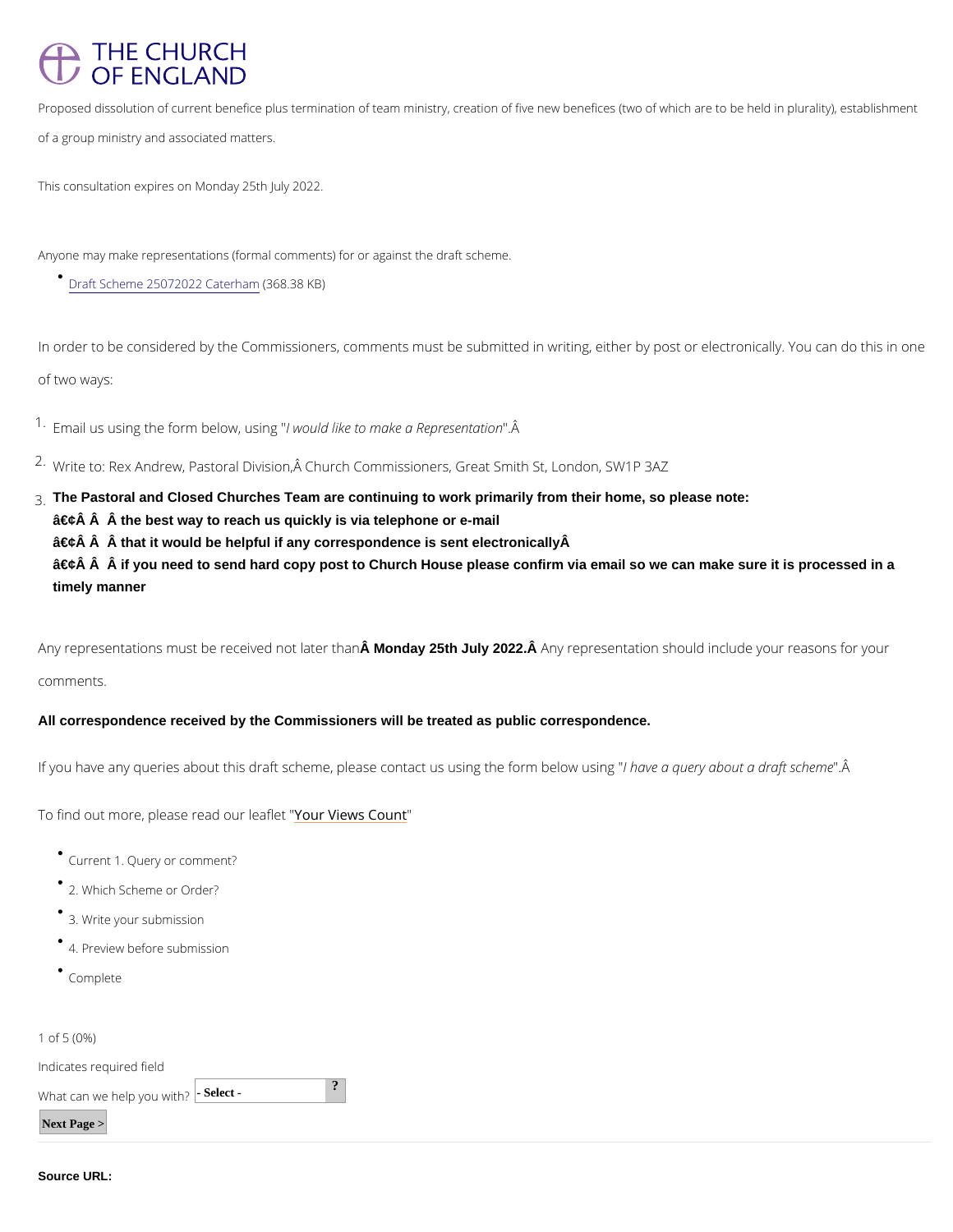## THE CHURCH OF ENGLAND

Proposed dissolution of current benefice plus termination of team ministry, creation of five new benefice of a group ministry and associated matters.

This consultation expires on Monday 25th July 2022.

In order to be considered by the Commissioners, comments must be submitted in writing, eith of two ways:

 $1.5$  Email us using the form lbwe bouwld luiskieng to make a "R  $\hat{A}$  epresentation

 $2 \cdot$ Write to: Rex Andrew, Pastoral Division,  $\hat{A}$  Church Commissioners, Great Smith St, London,

Anyone may make representations (formal comments) for or against the draft scheme.

## [Draft Scheme 2507202](/sites/default/files/2022-06/draft_scheme_25072022_caterham.pdf)2368t38hKB)

 $\hat{a} \in \hat{c}$   $\hat{A}$   $\hat{A}$  if you need to send hard copy post to Church House please confirm via email so we can make sure it is processed in a timely manner

Any representations must be recein Monday 25th Ualy 2022.h  $\hat{A}$  nAny representation should include your re

3.The Pastoral and Closed Churches Team are continuing to work primarily from their home, so please note:

 $\hat{a} \in \hat{c}$   $\hat{A}$   $\hat{A}$  the best way to reach us quickly is via telephone or e-mail

 $\hat{a} \in \hat{c}$   $\hat{A}$   $\hat{A}$  that it would be helpful if any correspondence is sent electronically  $\hat{A}$ 

comments.

All correspondence received by the Commissioners will be treated as public correspondence.

If you have any queries about this draft scheme, please conhtahcatvesauqsuinegythade of orma Maderaoftw sucshion

To find out more, please relead rollielve saflet worth t

Current Query or comment?

2. Which Scheme or Order?

3. Write your submission

- 4. Preview before submission
- Complete

1 of  $(5\%)$ 

Indicates required field What can we help  $\frac{1}{2}$ -Select -  $\frac{1}{2}$ Next Page >

Source URL: